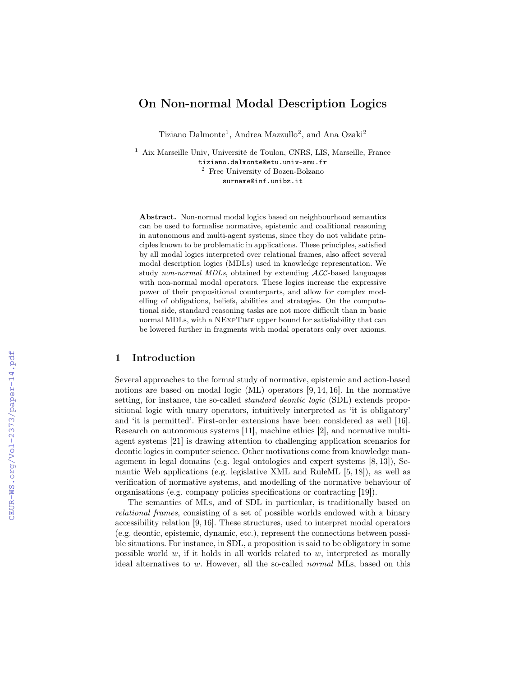# On Non-normal Modal Description Logics

Tiziano Dalmonte<sup>1</sup>, Andrea Mazzullo<sup>2</sup>, and Ana Ozaki<sup>2</sup>

<sup>1</sup> Aix Marseille Univ, Université de Toulon, CNRS, LIS, Marseille, France tiziano.dalmonte@etu.univ-amu.fr <sup>2</sup> Free University of Bozen-Bolzano surname@inf.unibz.it

Abstract. Non-normal modal logics based on neighbourhood semantics can be used to formalise normative, epistemic and coalitional reasoning in autonomous and multi-agent systems, since they do not validate principles known to be problematic in applications. These principles, satisfied by all modal logics interpreted over relational frames, also affect several modal description logics (MDLs) used in knowledge representation. We study non-normal MDLs, obtained by extending ALC-based languages with non-normal modal operators. These logics increase the expressive power of their propositional counterparts, and allow for complex modelling of obligations, beliefs, abilities and strategies. On the computational side, standard reasoning tasks are not more difficult than in basic normal MDLs, with a NExpTime upper bound for satisfiability that can be lowered further in fragments with modal operators only over axioms.

## 1 Introduction

Several approaches to the formal study of normative, epistemic and action-based notions are based on modal logic (ML) operators [9, 14, 16]. In the normative setting, for instance, the so-called *standard deontic logic* (SDL) extends propositional logic with unary operators, intuitively interpreted as 'it is obligatory' and 'it is permitted'. First-order extensions have been considered as well [16]. Research on autonomous systems [11], machine ethics [2], and normative multiagent systems [21] is drawing attention to challenging application scenarios for deontic logics in computer science. Other motivations come from knowledge management in legal domains (e.g. legal ontologies and expert systems [8, 13]), Semantic Web applications (e.g. legislative XML and RuleML [5, 18]), as well as verification of normative systems, and modelling of the normative behaviour of organisations (e.g. company policies specifications or contracting [19]).

The semantics of MLs, and of SDL in particular, is traditionally based on relational frames, consisting of a set of possible worlds endowed with a binary accessibility relation [9, 16]. These structures, used to interpret modal operators (e.g. deontic, epistemic, dynamic, etc.), represent the connections between possible situations. For instance, in SDL, a proposition is said to be obligatory in some possible world  $w$ , if it holds in all worlds related to  $w$ , interpreted as morally ideal alternatives to w. However, all the so-called normal MLs, based on this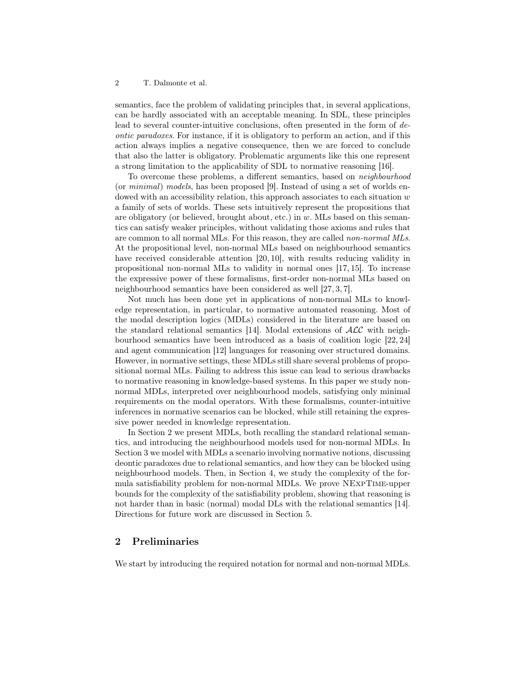semantics, face the problem of validating principles that, in several applications, can be hardly associated with an acceptable meaning. In SDL, these principles lead to several counter-intuitive conclusions, often presented in the form of deontic paradoxes. For instance, if it is obligatory to perform an action, and if this action always implies a negative consequence, then we are forced to conclude that also the latter is obligatory. Problematic arguments like this one represent a strong limitation to the applicability of SDL to normative reasoning [16].

To overcome these problems, a different semantics, based on neighbourhood (or minimal) models, has been proposed [9]. Instead of using a set of worlds endowed with an accessibility relation, this approach associates to each situation  $w$ a family of sets of worlds. These sets intuitively represent the propositions that are obligatory (or believed, brought about, etc.) in  $w$ . MLs based on this semantics can satisfy weaker principles, without validating those axioms and rules that are common to all normal MLs. For this reason, they are called *non-normal MLs*. At the propositional level, non-normal MLs based on neighbourhood semantics have received considerable attention [20, 10], with results reducing validity in propositional non-normal MLs to validity in normal ones [17, 15]. To increase the expressive power of these formalisms, first-order non-normal MLs based on neighbourhood semantics have been considered as well [27, 3, 7].

Not much has been done yet in applications of non-normal MLs to knowledge representation, in particular, to normative automated reasoning. Most of the modal description logics (MDLs) considered in the literature are based on the standard relational semantics [14]. Modal extensions of ALC with neighbourhood semantics have been introduced as a basis of coalition logic [22, 24] and agent communication [12] languages for reasoning over structured domains. However, in normative settings, these MDLs still share several problems of propositional normal MLs. Failing to address this issue can lead to serious drawbacks to normative reasoning in knowledge-based systems. In this paper we study nonnormal MDLs, interpreted over neighbourhood models, satisfying only minimal requirements on the modal operators. With these formalisms, counter-intuitive inferences in normative scenarios can be blocked, while still retaining the expressive power needed in knowledge representation.

In Section 2 we present MDLs, both recalling the standard relational semantics, and introducing the neighbourhood models used for non-normal MDLs. In Section 3 we model with MDLs a scenario involving normative notions, discussing deontic paradoxes due to relational semantics, and how they can be blocked using neighbourhood models. Then, in Section 4, we study the complexity of the formula satisfiability problem for non-normal MDLs. We prove NExpTime-upper bounds for the complexity of the satisfiability problem, showing that reasoning is not harder than in basic (normal) modal DLs with the relational semantics [14]. Directions for future work are discussed in Section 5.

# 2 Preliminaries

We start by introducing the required notation for normal and non-normal MDLs.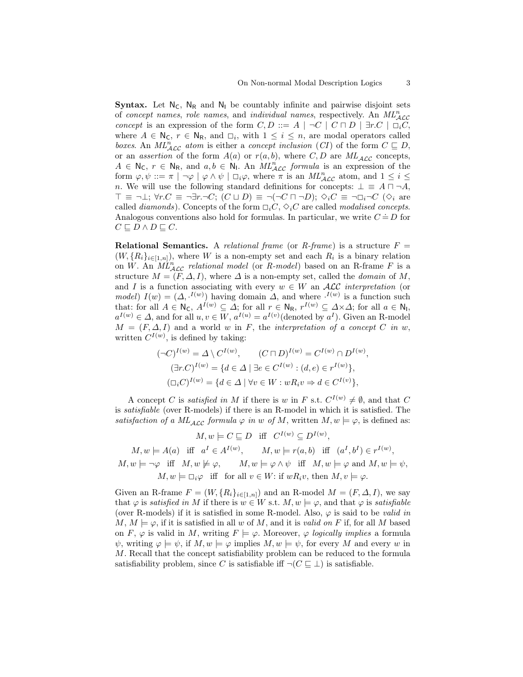**Syntax.** Let  $N_c$ ,  $N_R$  and  $N_l$  be countably infinite and pairwise disjoint sets of concept names, role names, and individual names, respectively. An  $ML_{\text{ACC}}^n$ concept is an expression of the form  $C, D ::= A \mid \neg C \mid C \sqcap D \mid \exists r.C \mid \Box_i C$ , where  $A \in \mathbb{N}_{\mathsf{C}}$ ,  $r \in \mathbb{N}_{\mathsf{R}}$ , and  $\square_i$ , with  $1 \leq i \leq n$ , are modal operators called boxes. An  $ML_{\mathcal{A}\mathcal{LC}}^n$  atom is either a concept inclusion (CI) of the form  $C \subseteq D$ , or an *assertion* of the form  $A(a)$  or  $r(a, b)$ , where C, D are  $ML_{ACC}$  concepts,  $A \in \mathbb{N}_{\mathsf{C}}$ ,  $r \in \mathbb{N}_{\mathsf{R}}$ , and  $a, b \in \mathbb{N}_{\mathsf{I}}$ . An  $ML_{\mathcal{ALC}}^n$  formula is an expression of the form  $\varphi, \psi ::= \pi \mid \neg \varphi \mid \varphi \land \psi \mid \Box_i \varphi$ , where  $\pi$  is an  $ML_{\mathcal{ALC}}^n$  atom, and  $1 \leq i \leq N$ n. We will use the following standard definitions for concepts:  $\bot \equiv A \sqcap \neg A$ ,  $\top \equiv \neg \bot; \forall r.C \equiv \neg \exists r.\neg C; (C \sqcup D) \equiv \neg(\neg C \sqcap \neg D); \Diamond_i C \equiv \neg \Box_i \neg C (\Diamond_i \text{ are})$ called *diamonds*). Concepts of the form  $\Box_i C$ ,  $\Diamond_i C$  are called *modalised concepts*. Analogous conventions also hold for formulas. In particular, we write  $C = D$  for  $C \sqsubset D \wedge D \sqsubset C.$ 

**Relational Semantics.** A relational frame (or R-frame) is a structure  $F =$  $(W, \{R_i\}_{i\in [1,n]})$ , where W is a non-empty set and each  $R_i$  is a binary relation on W. An  $ML_{\text{ALC}}^n$  relational model (or R-model) based on an R-frame F is a structure  $M = (F, \Delta, I)$ , where  $\Delta$  is a non-empty set, called the *domain* of M, and I is a function associating with every  $w \in W$  an ALC interpretation (or model)  $I(w) = (\Delta, \cdot^{I(w)})$  having domain  $\Delta$ , and where  $\cdot^{I(w)}$  is a function such that: for all  $A \in \mathsf{N}_{\mathsf{C}}$ ,  $A^{I(w)} \subseteq \Delta$ ; for all  $r \in \mathsf{N}_{\mathsf{R}}$ ,  $r^{I(w)} \subseteq \Delta \times \Delta$ ; for all  $a \in \mathsf{N}_{\mathsf{I}}$ ,  $a^{I(w)} \in \Delta$ , and for all  $u, v \in W$ ,  $a^{I(w)} = a^{I(v)}$  (denoted by  $a^I$ ). Given an R-model  $M = (F, \Delta, I)$  and a world w in F, the interpretation of a concept C in w, written  $C^{I(w)}$ , is defined by taking:

$$
(\neg C)^{I(w)} = \Delta \setminus C^{I(w)}, \qquad (C \sqcap D)^{I(w)} = C^{I(w)} \cap D^{I(w)},
$$

$$
(\exists r.C)^{I(w)} = \{d \in \Delta \mid \exists e \in C^{I(w)} : (d,e) \in r^{I(w)}\},\
$$

$$
(\Box_i C)^{I(w)} = \{d \in \Delta \mid \forall v \in W : wR_i v \Rightarrow d \in C^{I(v)}\},
$$

A concept C is satisfied in M if there is w in F s.t.  $C^{I(w)} \neq \emptyset$ , and that C is satisfiable (over R-models) if there is an R-model in which it is satisfied. The satisfaction of a  $ML_{ACC}$  formula  $\varphi$  in w of M, written  $M, w \models \varphi$ , is defined as:

 $M, w \models C \sqsubseteq D$  iff  $C^{I(w)} \subseteq D^{I(w)}$ ,  $M, w \models A(a)$  iff  $a^I \in A^{I(w)}$ ,  $M, w \models r(a, b)$  iff  $(a^I, b^I) \in r^{I(w)}$ ,  $M, w \models \neg \varphi \text{ iff } M, w \not\models \varphi, \qquad M, w \models \varphi \land \psi \text{ iff } M, w \models \varphi \text{ and } M, w \models \psi,$  $M, w \models \Box_i \varphi$  iff for all  $v \in W$ : if  $wR_i v$ , then  $M, v \models \varphi$ .

Given an R-frame  $F = (W, \{R_i\}_{i \in [1,n]})$  and an R-model  $M = (F, \Delta, I)$ , we say that  $\varphi$  is satisfied in M if there is  $w \in W$  s.t.  $M, w \models \varphi$ , and that  $\varphi$  is satisfiable (over R-models) if it is satisfied in some R-model. Also,  $\varphi$  is said to be *valid in*  $M, M \models \varphi$ , if it is satisfied in all w of M, and it is valid on F if, for all M based on F,  $\varphi$  is valid in M, writing  $F \models \varphi$ . Moreover,  $\varphi$  logically implies a formula  $\psi$ , writing  $\varphi \models \psi$ , if  $M, w \models \varphi$  implies  $M, w \models \psi$ , for every M and every w in M. Recall that the concept satisfiability problem can be reduced to the formula satisfiability problem, since C is satisfiable iff  $\neg(C \sqsubseteq \bot)$  is satisfiable.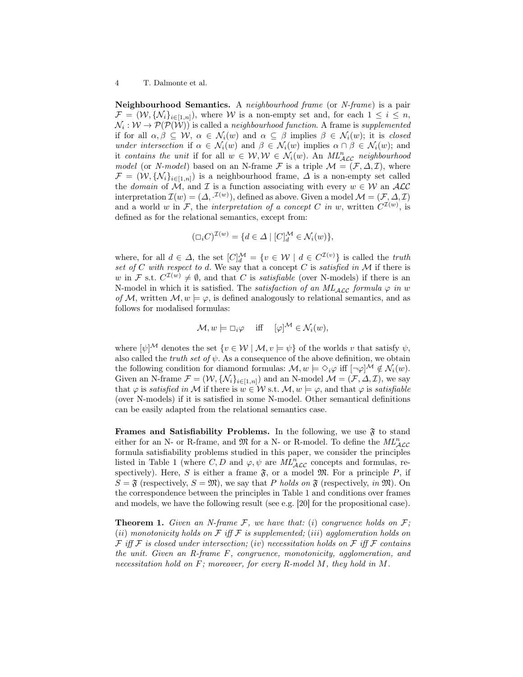Neighbourhood Semantics. A neighbourhood frame (or N-frame) is a pair  $\mathcal{F} = (\mathcal{W}, \{\mathcal{N}_i\}_{i \in [1,n]})$ , where W is a non-empty set and, for each  $1 \leq i \leq n$ ,  $\mathcal{N}_i: \mathcal{W} \to \mathcal{P}(\mathcal{P}(\mathcal{W}))$  is called a *neighbourhood function*. A frame is *supplemented* if for all  $\alpha, \beta \subseteq \mathcal{W}, \alpha \in \mathcal{N}_i(w)$  and  $\alpha \subseteq \beta$  implies  $\beta \in \mathcal{N}_i(w)$ ; it is *closed* under intersection if  $\alpha \in \mathcal{N}_i(w)$  and  $\beta \in \mathcal{N}_i(w)$  implies  $\alpha \cap \beta \in \mathcal{N}_i(w)$ ; and it contains the unit if for all  $w \in \mathcal{W}, \mathcal{W} \in \mathcal{N}_i(w)$ . An  $ML_{\mathcal{ALC}}^n$  neighbourhood model (or N-model) based on an N-frame F is a triple  $\mathcal{M} = (\mathcal{F}, \Delta, \mathcal{I})$ , where  $\mathcal{F} = (\mathcal{W}, \{\mathcal{N}_i\}_{i \in [1,n]})$  is a neighbourhood frame,  $\Delta$  is a non-empty set called the domain of  $\mathcal{M}$ , and  $\mathcal I$  is a function associating with every  $w \in \mathcal{W}$  an  $\mathcal{ALC}$ interpretation  $\mathcal{I}(w) = (\Delta, \cdot^{\mathcal{I}(w)})$ , defined as above. Given a model  $\mathcal{M} = (\mathcal{F}, \Delta, \mathcal{I})$ and a world w in F, the interpretation of a concept C in w, written  $C^{(1)}(w)$ , is defined as for the relational semantics, except from:

$$
(\Box_i C)^{\mathcal{I}(w)} = \{ d \in \Delta \mid [C]^{\mathcal{M}}_d \in \mathcal{N}_i(w) \},
$$

where, for all  $d \in \Delta$ , the set  $[C]_d^{\mathcal{M}} = \{v \in \mathcal{W} \mid d \in C^{\mathcal{I}(v)}\}$  is called the *truth* set of C with respect to d. We say that a concept C is satisfied in  $\mathcal M$  if there is w in F s.t.  $C^{T(w)} \neq \emptyset$ , and that C is *satisfiable* (over N-models) if there is an N-model in which it is satisfied. The *satisfaction of an ML<sub>ACC</sub>* formula  $\varphi$  in w of M, written  $M, w \models \varphi$ , is defined analogously to relational semantics, and as follows for modalised formulas:

$$
\mathcal{M}, w \models \Box_i \varphi \quad \text{ iff } \quad [\varphi]^\mathcal{M} \in \mathcal{N}_i(w),
$$

where  $[\psi]^{\mathcal{M}}$  denotes the set  $\{v \in \mathcal{W} \mid \mathcal{M}, v \models \psi\}$  of the worlds v that satisfy  $\psi$ , also called the *truth set of*  $\psi$ . As a consequence of the above definition, we obtain the following condition for diamond formulas:  $\mathcal{M}, w \models \Diamond_i \varphi$  iff  $[\neg \varphi]^{\mathcal{M}} \notin \mathcal{N}_i(w)$ . Given an N-frame  $\mathcal{F} = (\mathcal{W}, \{\mathcal{N}_i\}_{i \in [1,n]})$  and an N-model  $\mathcal{M} = (\mathcal{F}, \Delta, \mathcal{I})$ , we say that  $\varphi$  is satisfied in M if there is  $w \in \mathcal{W}$  s.t.  $\mathcal{M}, w \models \varphi$ , and that  $\varphi$  is satisfiable (over N-models) if it is satisfied in some N-model. Other semantical definitions can be easily adapted from the relational semantics case.

Frames and Satisfiability Problems. In the following, we use  $\mathfrak F$  to stand either for an N- or R-frame, and  $\mathfrak{M}$  for a N- or R-model. To define the  $ML_{\mathcal{ALC}}^n$ formula satisfiability problems studied in this paper, we consider the principles listed in Table 1 (where  $C, D$  and  $\varphi, \psi$  are  $ML_{\mathcal{ALC}}^n$  concepts and formulas, respectively). Here, S is either a frame  $\mathfrak{F}$ , or a model  $\mathfrak{M}$ . For a principle P, if  $S = \mathfrak{F}$  (respectively,  $S = \mathfrak{M}$ ), we say that P holds on  $\mathfrak{F}$  (respectively, in  $\mathfrak{M}$ ). On the correspondence between the principles in Table 1 and conditions over frames and models, we have the following result (see e.g. [20] for the propositional case).

**Theorem 1.** Given an N-frame F, we have that: (i) congruence holds on  $F$ ; (ii) monotonicity holds on  $\mathcal F$  iff  $\mathcal F$  is supplemented; (iii) agglomeration holds on F iff F is closed under intersection; (iv) necessitation holds on F iff F contains the unit. Given an R-frame F, congruence, monotonicity, agglomeration, and necessitation hold on  $F$ ; moreover, for every R-model M, they hold in M.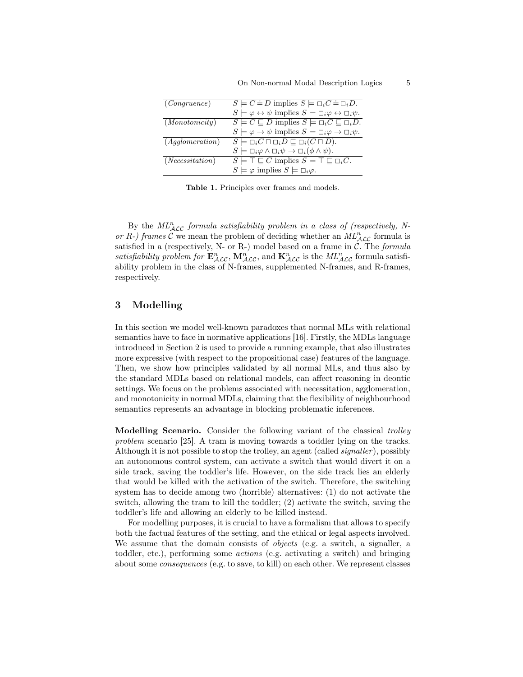| (Congruence)    | $S \models C \doteq D$ implies $S \models \Box_i C \doteq \Box_i D$ .                                     |
|-----------------|-----------------------------------------------------------------------------------------------------------|
|                 | $S \models \varphi \leftrightarrow \psi$ implies $S \models \Box_i \varphi \leftrightarrow \Box_i \psi$ . |
| (Monotonicity)  | $S \models C \sqsubseteq D$ implies $S \models \Box_i C \sqsubseteq \Box_i D$ .                           |
|                 | $S \models \varphi \rightarrow \psi$ implies $S \models \Box_i \varphi \rightarrow \Box_i \psi$ .         |
| (Agglomeration) | $S \models \Box_i C \sqcap \Box_i D \sqsubseteq \Box_i (C \sqcap D).$                                     |
|                 | $S \models \Box_i \varphi \land \Box_i \psi \rightarrow \Box_i (\phi \land \psi).$                        |
| (Necessitation) | $S \models \top \sqsubseteq C$ implies $S \models \top \sqsubseteq \Box_i C$ .                            |
|                 | $S \models \varphi$ implies $S \models \Box_i \varphi$ .                                                  |
|                 |                                                                                                           |

Table 1. Principles over frames and models.

By the  $ML_{\text{ACC}}^n$  formula satisfiability problem in a class of (respectively, Nor R-) frames C we mean the problem of deciding whether an  $ML_{\mathcal{ALC}}^n$  formula is satisfied in a (respectively, N- or R-) model based on a frame in  $C$ . The *formula* satisfiability problem for  $\mathbf{E}_{\mathcal{ALC}}^n$ ,  $\mathbf{M}_{\mathcal{ALC}}^n$ , and  $\mathbf{K}_{\mathcal{ALC}}^n$  is the  $ML_{\mathcal{ALC}}^n$  formula satisfiability problem in the class of N-frames, supplemented N-frames, and R-frames, respectively.

# 3 Modelling

In this section we model well-known paradoxes that normal MLs with relational semantics have to face in normative applications [16]. Firstly, the MDLs language introduced in Section 2 is used to provide a running example, that also illustrates more expressive (with respect to the propositional case) features of the language. Then, we show how principles validated by all normal MLs, and thus also by the standard MDLs based on relational models, can affect reasoning in deontic settings. We focus on the problems associated with necessitation, agglomeration, and monotonicity in normal MDLs, claiming that the flexibility of neighbourhood semantics represents an advantage in blocking problematic inferences.

Modelling Scenario. Consider the following variant of the classical *trolley* problem scenario [25]. A tram is moving towards a toddler lying on the tracks. Although it is not possible to stop the trolley, an agent (called signaller ), possibly an autonomous control system, can activate a switch that would divert it on a side track, saving the toddler's life. However, on the side track lies an elderly that would be killed with the activation of the switch. Therefore, the switching system has to decide among two (horrible) alternatives: (1) do not activate the switch, allowing the tram to kill the toddler; (2) activate the switch, saving the toddler's life and allowing an elderly to be killed instead.

For modelling purposes, it is crucial to have a formalism that allows to specify both the factual features of the setting, and the ethical or legal aspects involved. We assume that the domain consists of *objects* (e.g. a switch, a signaller, a toddler, etc.), performing some actions (e.g. activating a switch) and bringing about some consequences (e.g. to save, to kill) on each other. We represent classes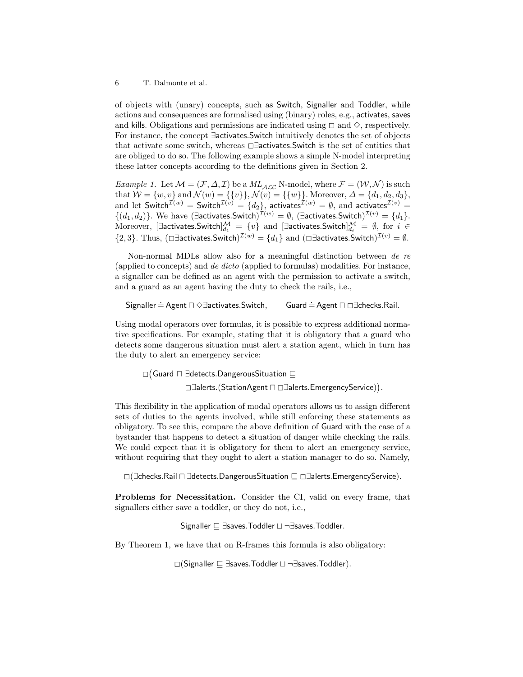of objects with (unary) concepts, such as Switch, Signaller and Toddler, while actions and consequences are formalised using (binary) roles, e.g., activates, saves and kills. Obligations and permissions are indicated using  $\Box$  and  $\diamond$ , respectively. For instance, the concept ∃activates.Switch intuitively denotes the set of objects that activate some switch, whereas <sup>2</sup>∃activates.Switch is the set of entities that are obliged to do so. The following example shows a simple N-model interpreting these latter concepts according to the definitions given in Section 2.

*Example 1.* Let  $\mathcal{M} = (\mathcal{F}, \Delta, \mathcal{I})$  be a  $ML_{\mathcal{ALC}}$  N-model, where  $\mathcal{F} = (\mathcal{W}, \mathcal{N})$  is such that  $W = \{w, v\}$  and  $\mathcal{N}(w) = \{\{v\}\}\, \mathcal{N}(v) = \{\{w\}\}\.$  Moreover,  $\Delta = \{d_1, d_2, d_3\}$ , and let  $\mathsf{Switch}^{\mathcal{I}(w)} = \mathsf{Switch}^{\mathcal{I}(v)} = \{d_2\},$  activates $^{\mathcal{I}(w)} = \emptyset,$  and activates $^{\mathcal{I}(v)} =$  $\{(d_1, d_2)\}\.$  We have  $(\exists$ activates.Switch) $\mathcal{I}^{(w)} = \emptyset$ ,  $(\exists$ activates.Switch) $\mathcal{I}^{(v)} = \{d_1\}.$  $\text{Moreover, } [\exists \textsf{activates}. \textsf{Switch}]_{d_1}^\mathcal{M} \ = \ \{v\} \ \ \text{and } \ [\exists \textsf{activates}. \textsf{Switch}]_{d_i}^\mathcal{M} \ = \ \emptyset, \ \text{for} \ \ i \ \in$ {2,3}. Thus,  $(\Box \exists$ activates.Switch)<sup> $\mathcal{I}^{(w)} = \{d_1\}$  and  $(\Box \exists$ activates.Switch) $\mathcal{I}^{(v)} = \emptyset$ .</sup>

Non-normal MDLs allow also for a meaningful distinction between de re (applied to concepts) and de dicto (applied to formulas) modalities. For instance, a signaller can be defined as an agent with the permission to activate a switch, and a guard as an agent having the duty to check the rails, i.e.,

```
Signaller = Agent \Box \Diamond ∃activates. Switch, Guard = Agent \Box \Box \exists checks. Rail.
```
Using modal operators over formulas, it is possible to express additional normative specifications. For example, stating that it is obligatory that a guard who detects some dangerous situation must alert a station agent, which in turn has the duty to alert an emergency service:

 $\Box$ (Guard  $\Box$  ∃detects.DangerousSituation  $\sqsubseteq$ 

<sup>2</sup>∃alerts.(StationAgent <sup>u</sup> <sup>2</sup>∃alerts.EmergencyService) .

This flexibility in the application of modal operators allows us to assign different sets of duties to the agents involved, while still enforcing these statements as obligatory. To see this, compare the above definition of Guard with the case of a bystander that happens to detect a situation of danger while checking the rails. We could expect that it is obligatory for them to alert an emergency service, without requiring that they ought to alert a station manager to do so. Namely,

 $\square$ ( $\exists$ checks.Rail  $\square$  $\exists$ detects.DangerousSituation  $\square$  $\square$  $\exists$ alerts.EmergencyService).

Problems for Necessitation. Consider the CI, valid on every frame, that signallers either save a toddler, or they do not, i.e.,

Signaller  $\Box$  ∃saves. Toddler  $\Box$  ¬∃saves. Toddler.

By Theorem 1, we have that on R-frames this formula is also obligatory:

 $\square$ (Signaller  $\square$  ∃saves. Toddler  $\square$  ¬∃saves. Toddler).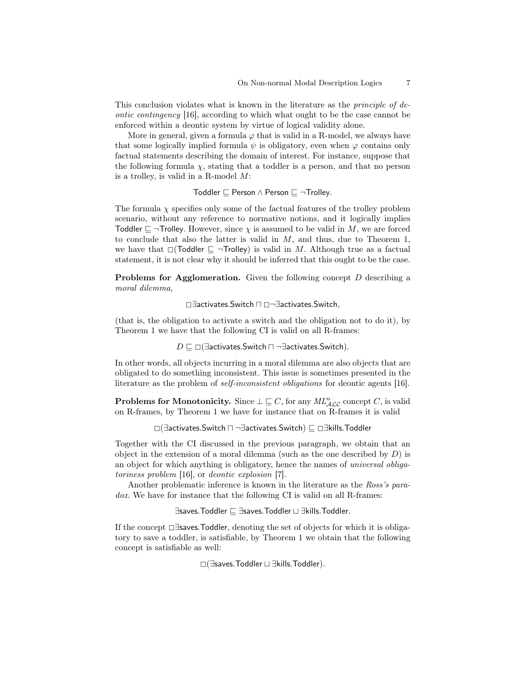This conclusion violates what is known in the literature as the principle of deontic contingency [16], according to which what ought to be the case cannot be enforced within a deontic system by virtue of logical validity alone.

More in general, given a formula  $\varphi$  that is valid in a R-model, we always have that some logically implied formula  $\psi$  is obligatory, even when  $\varphi$  contains only factual statements describing the domain of interest. For instance, suppose that the following formula  $\chi$ , stating that a toddler is a person, and that no person is a trolley, is valid in a R-model M:

Toddler  $\sqsubseteq$  Person  $\land$  Person  $\sqsubseteq \neg$ Trolley.

The formula  $\chi$  specifies only some of the factual features of the trolley problem scenario, without any reference to normative notions, and it logically implies Toddler  $\sqsubseteq \neg$ Trolley. However, since  $\chi$  is assumed to be valid in M, we are forced to conclude that also the latter is valid in  $M$ , and thus, due to Theorem 1, we have that  $\Box$ (Toddler  $\Box$   $\neg$ Trolley) is valid in M. Although true as a factual statement, it is not clear why it should be inferred that this ought to be the case.

**Problems for Agglomeration.** Given the following concept  $D$  describing a moral dilemma,

<sup>2</sup>∃activates.Switch <sup>u</sup> <sup>2</sup>¬∃activates.Switch,

(that is, the obligation to activate a switch and the obligation not to do it), by Theorem 1 we have that the following CI is valid on all R-frames:

 $D \sqsubseteq \Box$ (∃activates.Switch  $\Box$  ¬∃activates.Switch).

In other words, all objects incurring in a moral dilemma are also objects that are obligated to do something inconsistent. This issue is sometimes presented in the literature as the problem of self-inconsistent obligations for deontic agents [16].

**Problems for Monotonicity.** Since  $\bot \sqsubseteq C$ , for any  $ML_{\mathcal{ALC}}^n$  concept C, is valid on R-frames, by Theorem 1 we have for instance that on R-frames it is valid

<sup>2</sup>(∃activates.Switch u ¬∃activates.Switch) <sup>v</sup> <sup>2</sup>∃kills.Toddler

Together with the CI discussed in the previous paragraph, we obtain that an object in the extension of a moral dilemma (such as the one described by  $D$ ) is an object for which anything is obligatory, hence the names of universal obligatoriness problem [16], or deontic explosion [7].

Another problematic inference is known in the literature as the Ross's paradox. We have for instance that the following CI is valid on all R-frames:

∃saves.Toddler  $\Box$  ∃saves.Toddler  $\Box$  ∃kills.Toddler.

If the concept <sup>2</sup>∃saves.Toddler, denoting the set of objects for which it is obligatory to save a toddler, is satisfiable, by Theorem 1 we obtain that the following concept is satisfiable as well:

 $□$  (∃saves. Toddler  $□$  ∃kills. Toddler).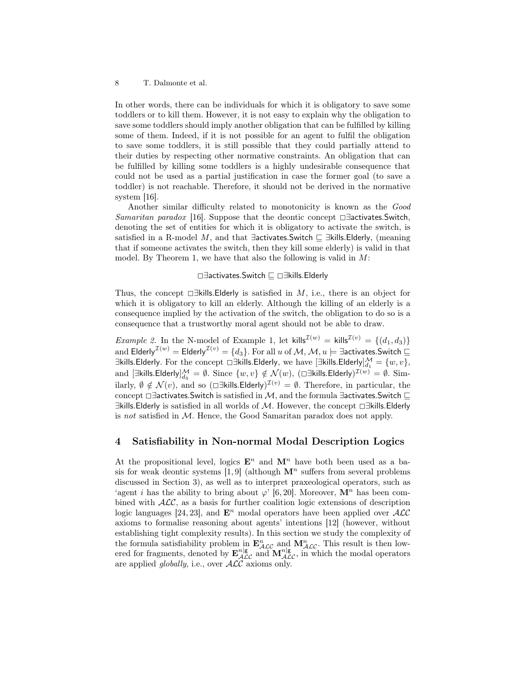In other words, there can be individuals for which it is obligatory to save some toddlers or to kill them. However, it is not easy to explain why the obligation to save some toddlers should imply another obligation that can be fulfilled by killing some of them. Indeed, if it is not possible for an agent to fulfil the obligation to save some toddlers, it is still possible that they could partially attend to their duties by respecting other normative constraints. An obligation that can be fulfilled by killing some toddlers is a highly undesirable consequence that could not be used as a partial justification in case the former goal (to save a toddler) is not reachable. Therefore, it should not be derived in the normative system [16].

Another similar difficulty related to monotonicity is known as the Good Samaritan paradox [16]. Suppose that the deontic concept □ ∃activates. Switch, denoting the set of entities for which it is obligatory to activate the switch, is satisfied in a R-model M, and that ∃activates. Switch  $\sqsubseteq$  ∃kills. Elderly, (meaning that if someone activates the switch, then they kill some elderly) is valid in that model. By Theorem 1, we have that also the following is valid in  $M$ :

#### <sup>2</sup>∃activates.Switch <sup>v</sup> <sup>2</sup>∃kills.Elderly

Thus, the concept  $\Box$ Fills.Elderly is satisfied in M, i.e., there is an object for which it is obligatory to kill an elderly. Although the killing of an elderly is a consequence implied by the activation of the switch, the obligation to do so is a consequence that a trustworthy moral agent should not be able to draw.

*Example 2.* In the N-model of Example 1, let kills<sup> $\mathcal{I}^{(w)} =$  kills<sup> $\mathcal{I}^{(v)} = \{(d_1, d_3)\}\$ </sup></sup> and Elderly $^{\mathcal{I}(w)}=$  Elderly $^{\mathcal{I}(v)}=\{d_3\}.$  For all  $u$  of  $\mathcal{M},$   $\mathcal{M},$   $u \models$  ∃activates.Switch  $\sqsubseteq$ ∃kills.Elderly. For the concept  $\Box$ ∃kills.Elderly, we have  $[\exists$ kills.Elderly] $\frac{\mathcal{M}}{d_1} = \{w, v\},$ and  $[\exists \text{kills}. \textsf{Elderly}]_{d_3}^{\mathcal{M}} = \emptyset$ . Since  $\{w, v\} \notin \mathcal{N}(w)$ ,  $(\Box \exists \text{kills}. \textsf{Elderly})^{\mathcal{I}(w)} = \emptyset$ . Similarly,  $\emptyset \notin \mathcal{N}(v)$ , and so  $(\Box \exists \text{kills}. \text{Elderly})^{\mathcal{I}(v)} = \emptyset$ . Therefore, in particular, the concept  $\Box$ ∃activates.Switch is satisfied in M, and the formula ∃activates.Switch  $\Box$  $\exists$ kills.Elderly is satisfied in all worlds of M. However, the concept  $\Box \exists$ kills.Elderly is not satisfied in M. Hence, the Good Samaritan paradox does not apply.

# 4 Satisfiability in Non-normal Modal Description Logics

At the propositional level, logics  $\mathbf{E}^n$  and  $\mathbf{M}^n$  have both been used as a basis for weak deontic systems [1, 9] (although  $\mathbf{M}^n$  suffers from several problems discussed in Section 3), as well as to interpret praxeological operators, such as 'agent *i* has the ability to bring about  $\varphi$ ' [6, 20]. Moreover,  $\mathbf{M}^n$  has been combined with  $ALC$ , as a basis for further coalition logic extensions of description logic languages [24, 23], and  $\mathbf{E}^n$  modal operators have been applied over  $\mathcal{ALC}$ axioms to formalise reasoning about agents' intentions [12] (however, without establishing tight complexity results). In this section we study the complexity of the formula satisfiability problem in  $\mathbf{E}_{\mathcal{ALC}}^n$  and  $\mathbf{M}_{\mathcal{ALC}}^n$ . This result is then lowered for fragments, denoted by  $\mathbf{E}_{\mathcal{ALC}}^{n|g}$  and  $\mathbf{M}_{\mathcal{ALC}}^{n|g}$ , in which the modal operators are applied *globally*, i.e., over  $\text{ALC}$  axioms only.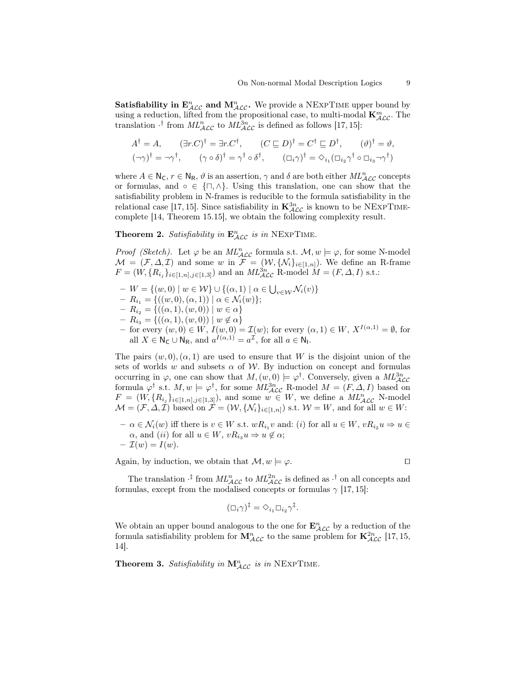**Satisfiability in**  $\mathbf{E}_{\mathcal{ALC}}^n$  **and**  $\mathbf{M}_{\mathcal{ALC}}^n$ **.** We provide a NEXPTIME upper bound by using a reduction, lifted from the propositional case, to multi-modal  $\mathbf{K}_{\mathcal{ALC}}^m$ . The translation  $\cdot^{\dagger}$  from  $ML_{\mathcal{ALC}}^n$  to  $ML_{\mathcal{ALC}}^{3n}$  is defined as follows [17, 15]:

$$
A^{\dagger} = A, \qquad (\exists r.C)^{\dagger} = \exists r.C^{\dagger}, \qquad (C \sqsubseteq D)^{\dagger} = C^{\dagger} \sqsubseteq D^{\dagger}, \qquad (\vartheta)^{\dagger} = \vartheta,
$$
  

$$
(\neg \gamma)^{\dagger} = \neg \gamma^{\dagger}, \qquad (\gamma \circ \delta)^{\dagger} = \gamma^{\dagger} \circ \delta^{\dagger}, \qquad (\Box_i \gamma)^{\dagger} = \Diamond_{i_1} (\Box_{i_2} \gamma^{\dagger} \circ \Box_{i_3} \neg \gamma^{\dagger})
$$

where  $A \in N_C$ ,  $r \in N_R$ ,  $\vartheta$  is an assertion,  $\gamma$  and  $\delta$  are both either  $ML_{\mathcal{ALC}}^n$  concepts or formulas, and ∘ ∈  $\{\sqcap, \wedge\}$ . Using this translation, one can show that the satisfiability problem in N-frames is reducible to the formula satisfiability in the relational case [17, 15]. Since satisfiability in  $\mathbf{K}_{\mathcal{ALC}}^{3n}$  is known to be NEXPTIMEcomplete [14, Theorem 15.15], we obtain the following complexity result.

**Theorem 2.** Satisfiability in  $\mathbf{E}_{\mathcal{A}\mathcal{L}\mathcal{C}}^n$  is in NEXPTIME.

*Proof (Sketch)*. Let  $\varphi$  be an  $ML_{\mathcal{ALC}}^n$  formula s.t.  $\mathcal{M}, w \models \varphi$ , for some N-model  $\mathcal{M} = (\mathcal{F}, \Delta, \mathcal{I})$  and some w in  $\mathcal{F} = (\mathcal{W}, \{\mathcal{N}_i\}_{i \in [1,n]})$ . We define an R-frame  $F = (W, \{R_{i_j}\}_{i \in [1,n], j \in [1,3]})$  and an  $ML_{\mathcal{ALC}}^{3n}$  R-model  $M = (F, \Delta, I)$  s.t.:

- $-V = \{(w, 0) \mid w \in W\} \cup \{(\alpha, 1) \mid \alpha \in \bigcup_{v \in W} \mathcal{N}_i(v)\}$
- $-R_{i_1} = \{((w, 0), (\alpha, 1)) \mid \alpha \in \mathcal{N}_i(w)\};$
- $-R_{i_2} = \{((\alpha, 1), (w, 0)) \mid w \in \alpha\}$
- $-R_{i_3} = \{((\alpha, 1), (w, 0)) \mid w \notin \alpha\}$
- for every  $(w, 0) \in W$ ,  $I(w, 0) = \mathcal{I}(w)$ ; for every  $(\alpha, 1) \in W$ ,  $X^{I(\alpha, 1)} = \emptyset$ , for all  $X \in \mathsf{N}_{\mathsf{C}} \cup \mathsf{N}_{\mathsf{R}}$ , and  $a^{I(\alpha,1)} = a^{\mathcal{I}}$ , for all  $a \in \mathsf{N}_{\mathsf{I}}$ .

The pairs  $(w, 0), (\alpha, 1)$  are used to ensure that W is the disjoint union of the sets of worlds w and subsets  $\alpha$  of W. By induction on concept and formulas occurring in  $\varphi$ , one can show that  $M$ ,  $(w, 0) \models \varphi^{\dagger}$ . Conversely, given a  $ML_{\text{ALC}}^{3n}$ formula  $\varphi^{\dagger}$  s.t.  $M, w \models \varphi^{\dagger}$ , for some  $ML_{\mathcal{ALC}}^{3n}$  R-model  $M = (F, \Delta, I)$  based on  $F = (W, \{R_{i_j}\}_{i \in [1,n], j \in [1,3]}),$  and some  $w \in W$ , we define a  $ML_{\text{ALC}}^n$  N-model  $\mathcal{M} = (\mathcal{F}, \Delta, \mathcal{I})$  based on  $\mathcal{F} = (\mathcal{W}, \{\mathcal{N}_i\}_{i \in [1,n]})$  s.t.  $\mathcal{W} = W$ , and for all  $w \in W$ :

 $- \alpha \in \mathcal{N}_i(w)$  iff there is  $v \in W$  s.t.  $wR_{i_1}v$  and: (i) for all  $u \in W$ ,  $vR_{i_2}u \Rightarrow u \in W$  $\alpha$ , and (ii) for all  $u \in W$ ,  $vR_{i_3}u \Rightarrow u \notin \alpha$ ;  $-\mathcal{I}(w)=I(w).$ 

Again, by induction, we obtain that  $\mathcal{M}, w \models \varphi$ .

The translation  $\cdot^{\ddagger}$  from  $ML_{\mathcal{ALC}}^n$  to  $ML_{\mathcal{ALC}}^{2n}$  is defined as  $\cdot^{\dagger}$  on all concepts and formulas, except from the modalised concepts or formulas  $\gamma$  [17, 15]:

$$
(\Box_i \gamma)^{\ddagger} = \Diamond_{i_1} \Box_{i_2} \gamma^{\ddagger}.
$$

We obtain an upper bound analogous to the one for  $\mathbf{E}_{\mathcal{ALC}}^n$  by a reduction of the formula satisfiability problem for  $\mathbf{M}_{\mathcal{ALC}}^n$  to the same problem for  $\mathbf{K}_{\mathcal{ALC}}^{2n}$  [17, 15, 14].

**Theorem 3.** Satisfiability in  $M_{\text{ALC}}^n$  is in NEXPTIME.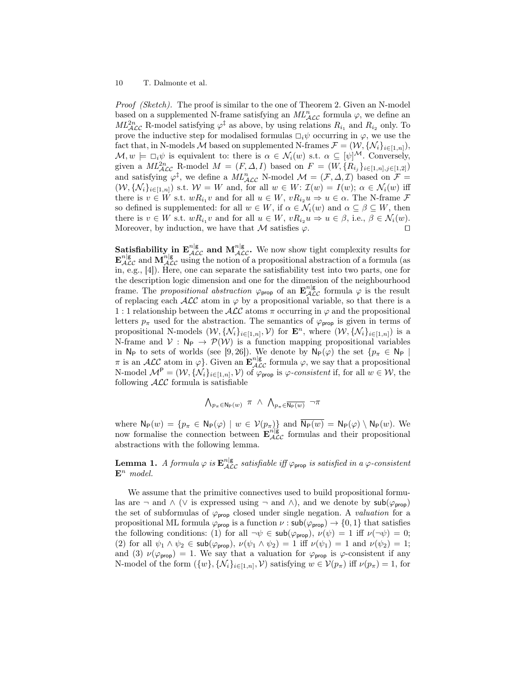*Proof (Sketch).* The proof is similar to the one of Theorem 2. Given an N-model based on a supplemented N-frame satisfying an  $ML_{\mathcal{ALC}}^n$  formula  $\varphi$ , we define an  $ML_{\text{ALC}}^{2n}$  R-model satisfying  $\varphi^{\ddagger}$  as above, by using relations  $R_{i_1}$  and  $R_{i_2}$  only. To prove the inductive step for modalised formulas  $\Box_i \psi$  occurring in  $\varphi$ , we use the fact that, in N-models M based on supplemented N-frames  $\mathcal{F} = (\mathcal{W}, \{\mathcal{N}_i\}_{i \in [1,n]}),$  $\mathcal{M}, w \models \Box_i \psi$  is equivalent to: there is  $\alpha \in \mathcal{N}_i(w)$  s.t.  $\alpha \subseteq [\psi]^{\mathcal{M}}$ . Conversely, given a  $ML_{\mathcal{ALC}}^{2n}$  R-model  $M = (F, \Delta, I)$  based on  $F = (W, \{R_{i_j}\}_{i \in [1,n], j \in [1,2]})$ and satisfying  $\varphi^{\ddagger}$ , we define a  $ML_{\mathcal{ALC}}^n$  N-model  $\mathcal{M} = (\mathcal{F}, \Delta, \mathcal{I})$  based on  $\mathcal{F} =$  $(W, {\{\mathcal{N}_i\}}_{i\in [1,n]})$  s.t.  $W = W$  and, for all  $w \in W$ :  $\mathcal{I}(w) = I(w)$ ;  $\alpha \in \mathcal{N}_i(w)$  iff there is  $v \in W$  s.t.  $wR_{i_1}v$  and for all  $u \in W$ ,  $vR_{i_2}u \Rightarrow u \in \alpha$ . The N-frame  $\mathcal F$ so defined is supplemented: for all  $w \in W$ , if  $\alpha \in \mathcal{N}_i(w)$  and  $\alpha \subseteq \beta \subseteq W$ , then there is  $v \in W$  s.t.  $wR_{i_1}v$  and for all  $u \in W$ ,  $vR_{i_2}u \Rightarrow u \in \beta$ , i.e.,  $\beta \in \mathcal{N}_i(w)$ . Moreover, by induction, we have that M satisfies  $\varphi$ .

**Satisfiability in**  $\mathbf{E}_{\mathcal{ALC}}^{n|g}$  **and**  $\mathbf{M}_{\mathcal{ALC}}^{n|g}$ **.** We now show tight complexity results for  $\mathbf{E}_{\mathcal{ALC}}^{n|g}$  and  $\mathbf{M}_{\mathcal{ALC}}^{n|g}$  using the notion of a propositional abstraction of a formula (as in, e.g., [4]). Here, one can separate the satisfiability test into two parts, one for the description logic dimension and one for the dimension of the neighbourhood frame. The propositional abstraction  $\varphi_{\text{prop}}$  of an  $\mathbf{E}_{\mathcal{ALC}}^{n|g}$  formula  $\varphi$  is the result of replacing each  $\mathcal{ALC}$  atom in  $\varphi$  by a propositional variable, so that there is a 1 : 1 relationship between the  $\mathcal{ALC}$  atoms  $\pi$  occurring in  $\varphi$  and the propositional letters  $p_{\pi}$  used for the abstraction. The semantics of  $\varphi_{\text{prop}}$  is given in terms of propositional N-models  $(W, {\{\mathcal{N}_i\}}_{i\in [1,n]}, \mathcal{V})$  for  $\mathbf{E}^n$ , where  $(W, {\{\mathcal{N}_i\}}_{i\in [1,n]})$  is a N-frame and  $V : N_P \to \mathcal{P}(\mathcal{W})$  is a function mapping propositional variables in N<sub>P</sub> to sets of worlds (see [9, 26]). We denote by  $N_P(\varphi)$  the set  $\{p_\pi \in N_P \mid$  $\pi$  is an ALC atom in  $\varphi$ . Given an  $\mathbf{E}_{\mathcal{ALC}}^{n|\mathsf{g}}$  formula  $\varphi$ , we say that a propositional N-model  $\mathcal{M}^{\mathsf{P}} = (\mathcal{W}, \{\mathcal{N}_i\}_{i \in [1,n]}, \mathcal{V})$  of  $\varphi_{\mathsf{prop}}$  is  $\varphi$ -consistent if, for all  $w \in \mathcal{W}$ , the following  $\mathcal{ALC}$  formula is satisfiable

$$
\bigwedge\nolimits_{p_{\pi}\in{\mathsf{N}_{\mathsf{P}}}(w)}\ \pi\ \wedge\ \bigwedge\nolimits_{p_{\pi}\in\overline{{\mathsf{N}_{\mathsf{P}}}(w)}}\ \neg\pi
$$

where  $N_P(w) = \{p_\pi \in N_P(\varphi) \mid w \in V(p_\pi)\}\$  and  $N_P(w) = N_P(\varphi) \setminus N_P(w)$ . We now formalise the connection between  $\mathbf{E}_{\mathcal{ALC}}^{\pi/|g}$  formulas and their propositional abstractions with the following lemma.

**Lemma 1.** A formula  $\varphi$  is  $\mathbf{E}_{\mathcal{ALC}}^{n|\mathbf{g}}$  satisfiable iff  $\varphi$ <sub>prop</sub> is satisfied in a  $\varphi$ -consistent  $\mathbf{E}^n$  model.

We assume that the primitive connectives used to build propositional formulas are  $\neg$  and  $\wedge$  ( $\vee$  is expressed using  $\neg$  and  $\wedge$ ), and we denote by  $\mathsf{sub}(\varphi_{\text{prop}})$ the set of subformulas of  $\varphi_{\text{prop}}$  closed under single negation. A *valuation* for a propositional ML formula  $\varphi_{\text{prop}}$  is a function  $\nu : \mathsf{sub}(\varphi_{\text{prop}}) \to \{0,1\}$  that satisfies the following conditions: (1) for all  $\neg \psi \in \mathsf{sub}(\varphi_{\mathsf{prop}}), \nu(\psi) = 1$  iff  $\nu(\neg \psi) = 0$ ; (2) for all  $\psi_1 \wedge \psi_2 \in \mathsf{sub}(\varphi_{\mathsf{prop}}), \nu(\psi_1 \wedge \psi_2) = 1$  iff  $\nu(\psi_1) = 1$  and  $\nu(\psi_2) = 1$ ; and (3)  $\nu(\varphi_{\text{prop}}) = 1$ . We say that a valuation for  $\varphi_{\text{prop}}$  is  $\varphi$ -consistent if any N-model of the form  $({w}, {\mathcal{N}_i}_{i\in [1,n]}, \mathcal{V})$  satisfying  $w \in \mathcal{V}(p_\pi)$  iff  $\nu(p_\pi) = 1$ , for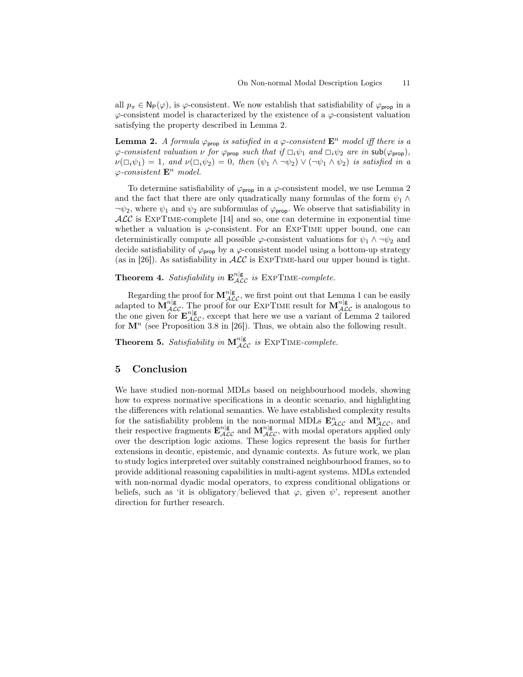all  $p_{\pi} \in \mathsf{N}_{\mathsf{P}}(\varphi)$ , is  $\varphi$ -consistent. We now establish that satisfiability of  $\varphi_{\text{prop}}$  in a  $\varphi$ -consistent model is characterized by the existence of a  $\varphi$ -consistent valuation satisfying the property described in Lemma 2.

**Lemma 2.** A formula  $\varphi_{\text{prop}}$  is satisfied in a  $\varphi$ -consistent  $\mathbf{E}^n$  model iff there is a  $\varphi$ -consistent valuation  $\nu$  for  $\varphi_{\text{prop}}$  such that if  $\Box_i \psi_1$  and  $\Box_i \psi_2$  are in  $\text{sub}(\varphi_{\text{prop}})$ ,  $\nu(\Box_i \psi_1) = 1$ , and  $\nu(\Box_i \psi_2) = 0$ , then  $(\psi_1 \wedge \neg \psi_2) \vee (\neg \psi_1 \wedge \psi_2)$  is satisfied in a  $\varphi$ -consistent  $\mathbf{E}^n$  model.

To determine satisfiability of  $\varphi_{\text{prop}}$  in a  $\varphi$ -consistent model, we use Lemma 2 and the fact that there are only quadratically many formulas of the form  $\psi_1 \wedge$  $\neg \psi_2$ , where  $\psi_1$  and  $\psi_2$  are subformulas of  $\varphi_{\text{proof}}$ . We observe that satisfiability in  $\cal{ALC}$  is EXPTIME-complete [14] and so, one can determine in exponential time whether a valuation is  $\varphi$ -consistent. For an EXPTIME upper bound, one can deterministically compute all possible  $\varphi$ -consistent valuations for  $\psi_1 \wedge \neg \psi_2$  and decide satisfiability of  $\varphi_{\text{prop}}$  by a  $\varphi$ -consistent model using a bottom-up strategy (as in [26]). As satisfiability in  $\cal{ALC}$  is EXPTIME-hard our upper bound is tight.

**Theorem 4.** Satisfiability in  $\mathbf{E}_{\mathcal{ALC}}^{n|\mathbf{g}}$  is  $\text{EXPTIME-complete.}$ 

Regarding the proof for  $M_{\mathcal{ALC}}^{n|g}$ , we first point out that Lemma 1 can be easily adapted to  $\overline{M}_{\mathcal{ALC}}^{n|g}$ . The proof for our EXPTIME result for  $M_{\mathcal{ALC}}^{n|g}$  is analogous to the one given for  $\mathbf{E}_{\mathcal{A}\mathcal{L}\mathcal{C}}^{n|g}$ , except that here we use a variant of Lemma 2 tailored for  $\mathbf{M}^n$  (see Proposition 3.8 in [26]). Thus, we obtain also the following result.

**Theorem 5.** Satisfiability in  $M_{\mathcal{ALC}}^{n|g}$  is EXPTIME-complete.

# 5 Conclusion

We have studied non-normal MDLs based on neighbourhood models, showing how to express normative specifications in a deontic scenario, and highlighting the differences with relational semantics. We have established complexity results for the satisfiability problem in the non-normal MDLs  $\mathbf{E}_{\mathcal{ALC}}^n$  and  $\mathbf{M}_{\mathcal{ALC}}^n$ , and their respective fragments  $\mathbf{E}_{\mathcal{ALC}}^{n|g}$  and  $\mathbf{M}_{\mathcal{ALC}}^{n|g}$ , with modal operators applied only over the description logic axioms. These logics represent the basis for further extensions in deontic, epistemic, and dynamic contexts. As future work, we plan to study logics interpreted over suitably constrained neighbourhood frames, so to provide additional reasoning capabilities in multi-agent systems. MDLs extended with non-normal dyadic modal operators, to express conditional obligations or beliefs, such as 'it is obligatory/believed that  $\varphi$ , given  $\psi'$ , represent another direction for further research.